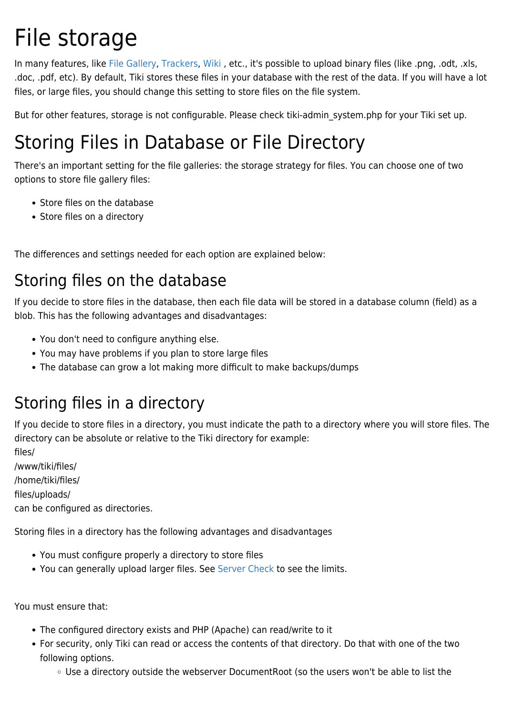# File storage

In many features, like [File Gallery,](https://doc.tiki.org/File-Gallery) [Trackers,](https://doc.tiki.org/Trackers) [Wiki](https://doc.tiki.org/Wiki), etc., it's possible to upload binary files (like .png, .odt, .xls, .doc, .pdf, etc). By default, Tiki stores these files in your database with the rest of the data. If you will have a lot files, or large files, you should change this setting to store files on the file system.

But for other features, storage is not configurable. Please check tiki-admin system.php for your Tiki set up.

# Storing Files in Database or File Directory

There's an important setting for the file galleries: the storage strategy for files. You can choose one of two options to store file gallery files:

- Store files on the database
- Store files on a directory

The differences and settings needed for each option are explained below:

#### Storing files on the database

If you decide to store files in the database, then each file data will be stored in a database column (field) as a blob. This has the following advantages and disadvantages:

- You don't need to configure anything else.
- You may have problems if you plan to store large files
- The database can grow a lot making more difficult to make backups/dumps

#### Storing files in a directory

If you decide to store files in a directory, you must indicate the path to a directory where you will store files. The directory can be absolute or relative to the Tiki directory for example:

files/

/www/tiki/files/

/home/tiki/files/

files/uploads/

can be configured as directories.

Storing files in a directory has the following advantages and disadvantages

- You must configure properly a directory to store files
- You can generally upload larger files. See [Server Check](https://doc.tiki.org/Server-Check) to see the limits.

You must ensure that:

- The configured directory exists and PHP (Apache) can read/write to it
- For security, only Tiki can read or access the contents of that directory. Do that with one of the two following options.
	- Use a directory outside the webserver DocumentRoot (so the users won't be able to list the